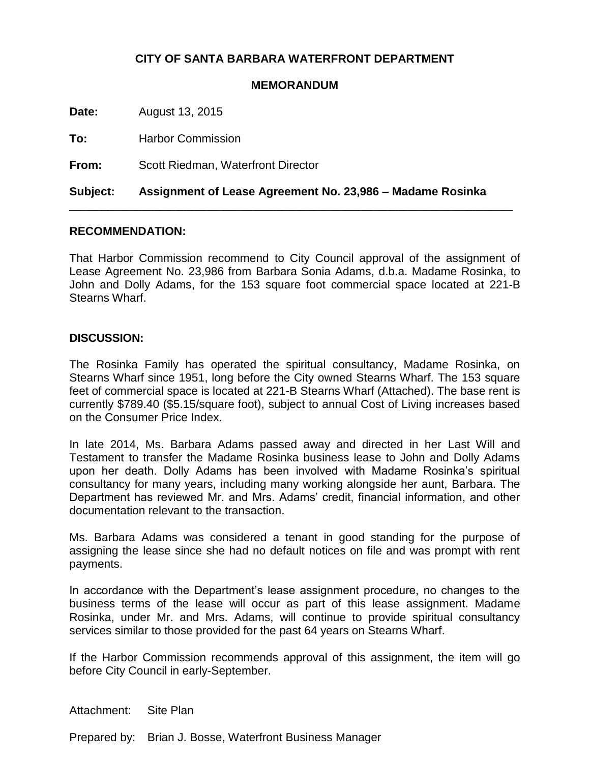## **CITY OF SANTA BARBARA WATERFRONT DEPARTMENT**

## **MEMORANDUM**

**Date:** August 13, 2015

**To:** Harbor Commission

**From:** Scott Riedman, Waterfront Director

**Subject: Assignment of Lease Agreement No. 23,986 – Madame Rosinka**

\_\_\_\_\_\_\_\_\_\_\_\_\_\_\_\_\_\_\_\_\_\_\_\_\_\_\_\_\_\_\_\_\_\_\_\_\_\_\_\_\_\_\_\_\_\_\_\_\_\_\_\_\_\_\_\_\_\_\_\_\_\_\_\_\_\_\_\_\_

## **RECOMMENDATION:**

That Harbor Commission recommend to City Council approval of the assignment of Lease Agreement No. 23,986 from Barbara Sonia Adams, d.b.a. Madame Rosinka, to John and Dolly Adams, for the 153 square foot commercial space located at 221-B Stearns Wharf.

## **DISCUSSION:**

The Rosinka Family has operated the spiritual consultancy, Madame Rosinka, on Stearns Wharf since 1951, long before the City owned Stearns Wharf. The 153 square feet of commercial space is located at 221-B Stearns Wharf (Attached). The base rent is currently \$789.40 (\$5.15/square foot), subject to annual Cost of Living increases based on the Consumer Price Index.

In late 2014, Ms. Barbara Adams passed away and directed in her Last Will and Testament to transfer the Madame Rosinka business lease to John and Dolly Adams upon her death. Dolly Adams has been involved with Madame Rosinka's spiritual consultancy for many years, including many working alongside her aunt, Barbara. The Department has reviewed Mr. and Mrs. Adams' credit, financial information, and other documentation relevant to the transaction.

Ms. Barbara Adams was considered a tenant in good standing for the purpose of assigning the lease since she had no default notices on file and was prompt with rent payments.

In accordance with the Department's lease assignment procedure, no changes to the business terms of the lease will occur as part of this lease assignment. Madame Rosinka, under Mr. and Mrs. Adams, will continue to provide spiritual consultancy services similar to those provided for the past 64 years on Stearns Wharf.

If the Harbor Commission recommends approval of this assignment, the item will go before City Council in early-September.

Attachment: Site Plan

Prepared by: Brian J. Bosse, Waterfront Business Manager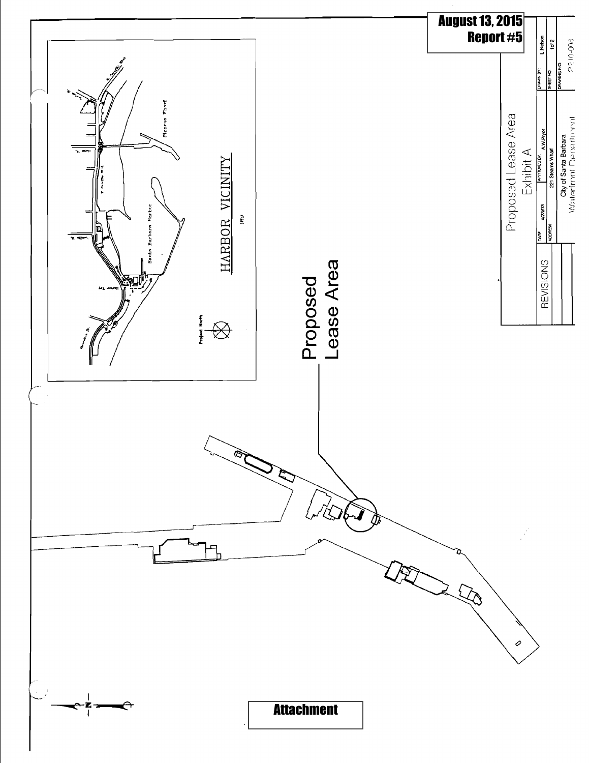